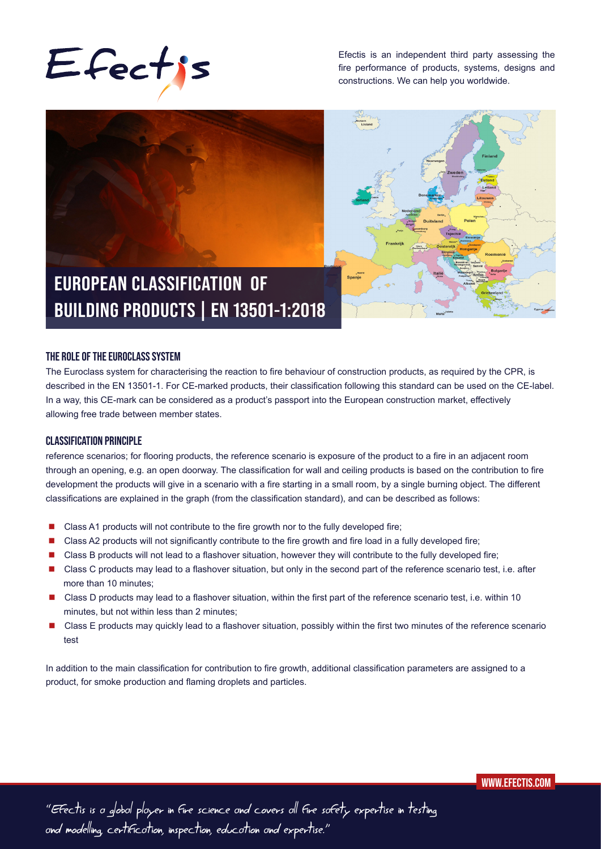

Efectis is an independent third party assessing the fire performance of products, systems, designs and constructions. We can help you worldwide.



#### **THE ROLE OF THE EUROCLASS SYSTEM**

The Euroclass system for characterising the reaction to fire behaviour of construction products, as required by the CPR, is described in the EN 13501-1. For CE-marked products, their classification following this standard can be used on the CE-label. In a way, this CE-mark can be considered as a product's passport into the European construction market, effectively allowing free trade between member states.

### **CLASSIFICATION PRINCIPLE**

reference scenarios; for flooring products, the reference scenario is exposure of the product to a fire in an adjacent room through an opening, e.g. an open doorway. The classification for wall and ceiling products is based on the contribution to fire development the products will give in a scenario with a fire starting in a small room, by a single burning object. The different classifications are explained in the graph (from the classification standard), and can be described as follows:

- Class A1 products will not contribute to the fire growth nor to the fully developed fire;
- Class A2 products will not significantly contribute to the fire growth and fire load in a fully developed fire;
- **Class B products will not lead to a flashover situation, however they will contribute to the fully developed fire;**
- Class C products may lead to a flashover situation, but only in the second part of the reference scenario test, i.e. after more than 10 minutes;
- Class D products may lead to a flashover situation, within the first part of the reference scenario test, i.e. within 10 minutes, but not within less than 2 minutes;
- Class E products may quickly lead to a flashover situation, possibly within the first two minutes of the reference scenario test

In addition to the main classification for contribution to fire growth, additional classification parameters are assigned to a product, for smoke production and flaming droplets and particles.

 **WWW.EFECTIS.COM**

"Efectis is a global player in fire science and covers all fire safety expertise in testing and modelling, certification, inspection, education and expertise."